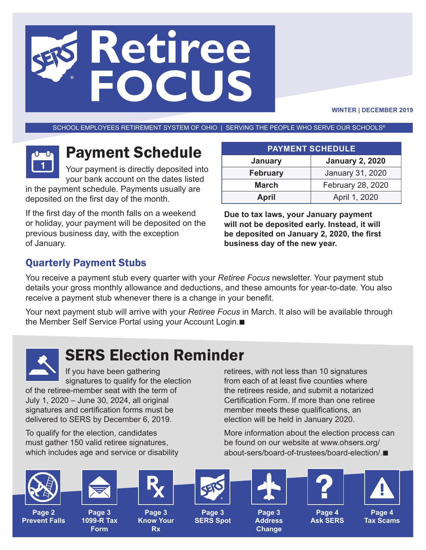# **Retiree FOCUS**

**WINTER | DECEMBER 2019**

SCHOOL EMPLOYEES RETIREMENT SYSTEM OF OHIO | SERVING THE PEOPLE WHO SERVE OUR SCHOOLS®



# Payment Schedule

Your payment is directly deposited into your bank account on the dates listed

in the payment schedule. Payments usually are deposited on the first day of the month.

If the first day of the month falls on a weekend or holiday, your payment will be deposited on the previous business day, with the exception of January.

| <b>PAYMENT SCHEDULE</b> |                        |
|-------------------------|------------------------|
| January                 | <b>January 2, 2020</b> |
| <b>February</b>         | January 31, 2020       |
| March                   | February 28, 2020      |
| <b>April</b>            | April 1, 2020          |

**Due to tax laws, your January payment will not be deposited early. Instead, it will be deposited on January 2, 2020, the first business day of the new year.**

### Quarterly Payment Stubs

You receive a payment stub every quarter with your *Retiree Focus* newsletter. Your payment stub details your gross monthly allowance and deductions, and these amounts for year-to-date. You also receive a payment stub whenever there is a change in your benefit.

Your next payment stub will arrive with your *Retiree Focus* in March. It also will be available through the Member Self Service Portal using your Account Login.■



# SERS Election Reminder

If you have been gathering signatures to qualify for the election

of the retiree-member seat with the term of July 1, 2020 – June 30, 2024, all original signatures and certification forms must be delivered to SERS by December 6, 2019.

To qualify for the election, candidates must gather 150 valid retiree signatures, which includes age and service or disability retirees, with not less than 10 signatures from each of at least five counties where the retirees reside, and submit a notarized Certification Form. If more than one retiree member meets these qualifications, an election will be held in January 2020.

More information about the election process can be found on our website at www.ohsers.org/ about-sers/board-of-trustees/board-election/.

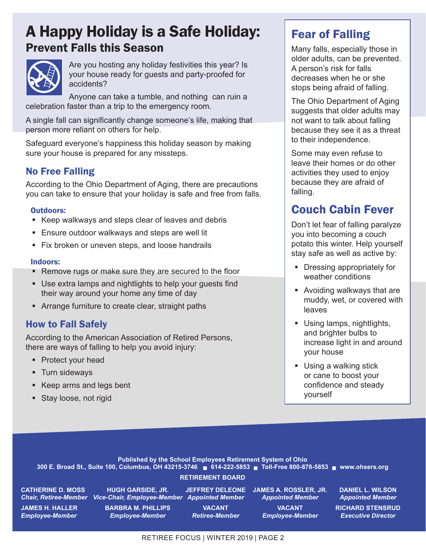## A Happy Holiday is a Safe Holiday: Prevent Falls this Season



Are you hosting any holiday festivities this year? Is your house ready for guests and party-proofed for accidents?

Anyone can take a tumble, and nothing can ruin a celebration faster than a trip to the emergency room.

A single fall can significantly change someone's life, making that person more reliant on others for help.

Safeguard everyone's happiness this holiday season by making sure your house is prepared for any missteps.

#### No Free Falling

According to the Ohio Department of Aging, there are precautions you can take to ensure that your holiday is safe and free from falls.

#### Outdoors:

- Keep walkways and steps clear of leaves and debris
- **Ensure outdoor walkways and steps are well lit**
- **Fix broken or uneven steps, and loose handrails**

#### Indoors:

- **Remove rugs or make sure they are secured to the floor**
- Use extra lamps and nightlights to help your guests find their way around your home any time of day
- **EXTERN** Arrange furniture to create clear, straight paths

#### How to Fall Safely

According to the American Association of Retired Persons, there are ways of falling to help you avoid injury:

- Protect your head
- **Turn sideways**
- Keep arms and legs bent
- **Stay loose, not rigid**

## Fear of Falling

Many falls, especially those in older adults, can be prevented. A person's risk for falls decreases when he or she stops being afraid of falling.

The Ohio Department of Aging suggests that older adults may not want to talk about falling because they see it as a threat to their independence.

Some may even refuse to leave their homes or do other activities they used to enjoy because they are afraid of falling.

## Couch Cabin Fever

Don't let fear of falling paralyze you into becoming a couch potato this winter. Help yourself stay safe as well as active by:

- **•** Dressing appropriately for weather conditions
- Avoiding walkways that are muddy, wet, or covered with leaves
- Using lamps, nightlights, and brighter bulbs to increase light in and around your house
- Using a walking stick or cane to boost your confidence and steady yourself

**Published by the School Employees Retirement System of Ohio 300 E. Broad St., Suite 100, Columbus, OH 43215-3746** n **614-222-5853** n **Toll-Free 800-878-5853** n **www.ohsers.org**

#### **RETIREMENT BOARD**

**CATHERINE D. MOSS HUGH GARSIDE, JR. JEFFREY DELEONE JAMES A. ROSSLER, JR. DANIEL L. WILSON** *Chair, Retiree-Member Vice-Chair, Employee-Member Appointed Member Appointed Member Appointed Member*

**JAMES H. HALLER BARBRA M. PHILLIPS VACANT VACANT RICHARD STENSRUD** *Employee-Member Employee-Member Retiree-Member Employee-Member Executive Director*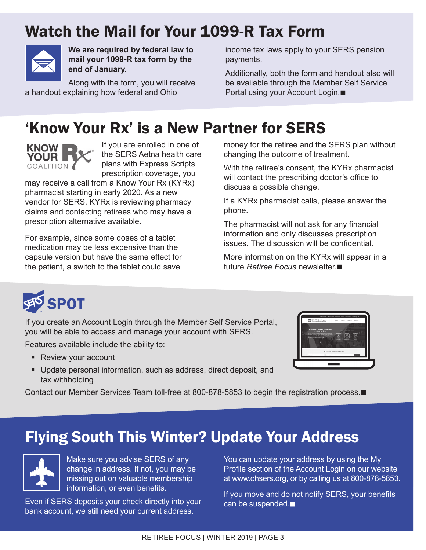# Watch the Mail for Your 1099-R Tax Form



**We are required by federal law to mail your 1099-R tax form by the end of January.** 

Along with the form, you will receive a handout explaining how federal and Ohio

income tax laws apply to your SERS pension payments.

Additionally, both the form and handout also will be available through the Member Self Service Portal using your Account Login.<sup>1</sup>

# 'Know Your Rx' is a New Partner for SERS



If you are enrolled in one of the SERS Aetna health care plans with Express Scripts prescription coverage, you

may receive a call from a Know Your Rx (KYRx) pharmacist starting in early 2020. As a new vendor for SERS, KYRx is reviewing pharmacy claims and contacting retirees who may have a prescription alternative available.

For example, since some doses of a tablet medication may be less expensive than the capsule version but have the same effect for the patient, a switch to the tablet could save

money for the retiree and the SERS plan without changing the outcome of treatment.

With the retiree's consent, the KYRx pharmacist will contact the prescribing doctor's office to discuss a possible change.

If a KYRx pharmacist calls, please answer the phone.

The pharmacist will not ask for any financial information and only discusses prescription issues. The discussion will be confidential.

More information on the KYRx will appear in a future *Retiree Focus* newsletter.■



If you create an Account Login through the Member Self Service Portal, you will be able to access and manage your account with SERS.

Features available include the ability to:

- Review your account
- Update personal information, such as address, direct deposit, and tax withholding

Contact our Member Services Team toll-free at 800-878-5853 to begin the registration process.

# Flying South This Winter? Update Your Address



Make sure you advise SERS of any change in address. If not, you may be missing out on valuable membership information, or even benefits.

Even if SERS deposits your check directly into your bank account, we still need your current address.

You can update your address by using the My Profile section of the Account Login on our website at www.ohsers.org, or by calling us at 800-878-5853.

If you move and do not notify SERS, your benefits can be suspended. $\blacksquare$